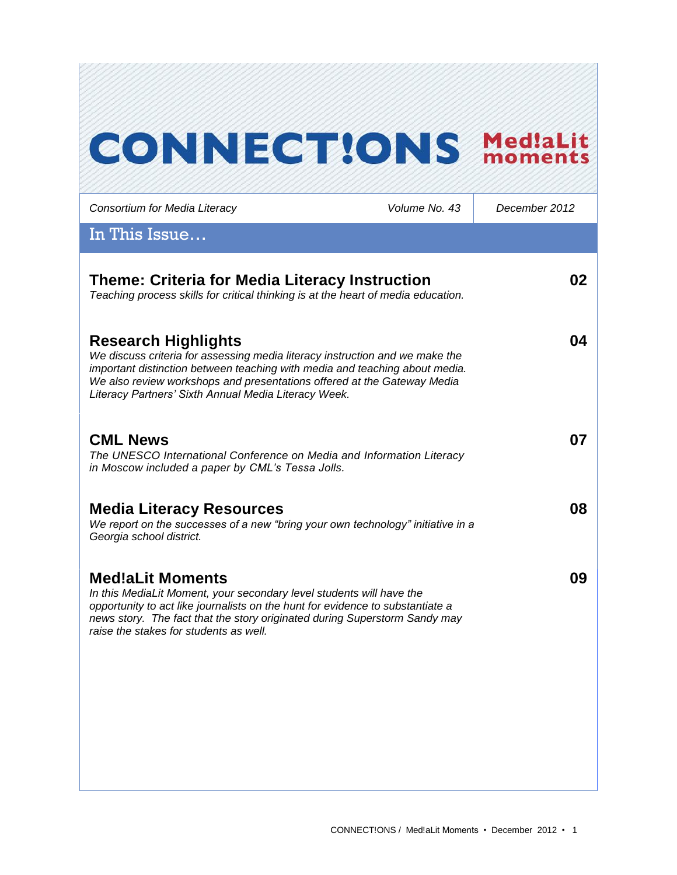# **CONNECT!ONS Med!aLit**

| Consortium for Media Literacy                                                                                                                                                                                                                                                                                                | Volume No. 43 | December 2012 |
|------------------------------------------------------------------------------------------------------------------------------------------------------------------------------------------------------------------------------------------------------------------------------------------------------------------------------|---------------|---------------|
| In This Issue                                                                                                                                                                                                                                                                                                                |               |               |
| <b>Theme: Criteria for Media Literacy Instruction</b><br>Teaching process skills for critical thinking is at the heart of media education.                                                                                                                                                                                   |               | 02            |
| <b>Research Highlights</b><br>We discuss criteria for assessing media literacy instruction and we make the<br>important distinction between teaching with media and teaching about media.<br>We also review workshops and presentations offered at the Gateway Media<br>Literacy Partners' Sixth Annual Media Literacy Week. |               | 04            |
| <b>CML News</b><br>The UNESCO International Conference on Media and Information Literacy<br>in Moscow included a paper by CML's Tessa Jolls.                                                                                                                                                                                 |               | 07            |
| <b>Media Literacy Resources</b><br>We report on the successes of a new "bring your own technology" initiative in a<br>Georgia school district.                                                                                                                                                                               |               | 08            |
| <b>Med!aLit Moments</b><br>In this MediaLit Moment, your secondary level students will have the<br>opportunity to act like journalists on the hunt for evidence to substantiate a<br>news story. The fact that the story originated during Superstorm Sandy may<br>raise the stakes for students as well.                    |               | 09            |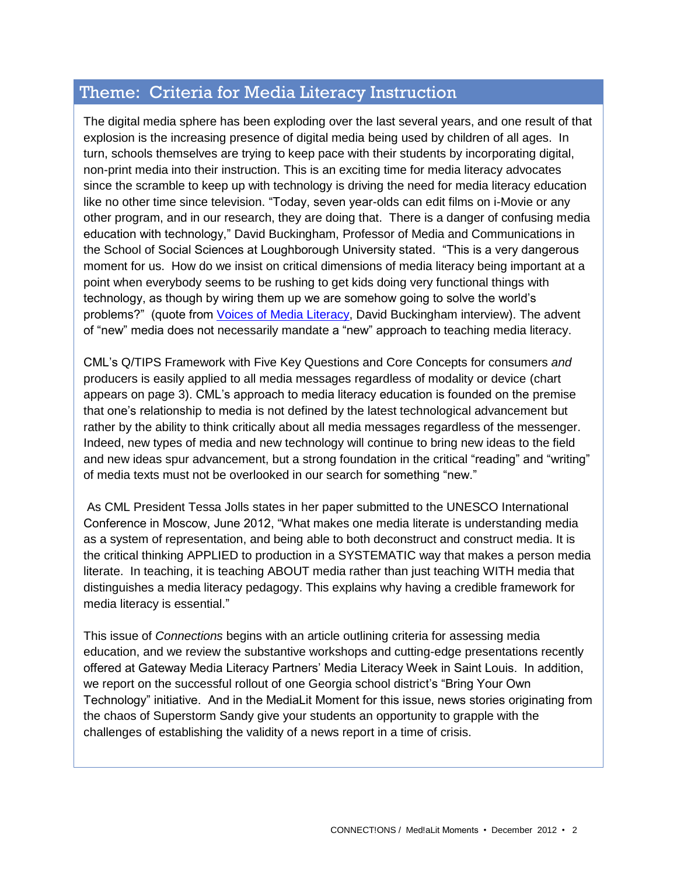### Theme: Criteria for Media Literacy Instruction

The digital media sphere has been exploding over the last several years, and one result of that explosion is the increasing presence of digital media being used by children of all ages. In turn, schools themselves are trying to keep pace with their students by incorporating digital, non-print media into their instruction. This is an exciting time for media literacy advocates since the scramble to keep up with technology is driving the need for media literacy education like no other time since television. "Today, seven year-olds can edit films on i-Movie or any other program, and in our research, they are doing that. There is a danger of confusing media education with technology," David Buckingham, Professor of Media and Communications in the School of Social Sciences at Loughborough University stated. "This is a very dangerous moment for us. How do we insist on critical dimensions of media literacy being important at a point when everybody seems to be rushing to get kids doing very functional things with technology, as though by wiring them up we are somehow going to solve the world's problems?" (quote from [Voices of Media Literacy,](http://www.medialit.org/voices-media-literacy-international-pioneers-speak) David Buckingham interview). The advent of "new" media does not necessarily mandate a "new" approach to teaching media literacy.

CML's Q/TIPS Framework with Five Key Questions and Core Concepts for consumers *and* producers is easily applied to all media messages regardless of modality or device (chart appears on page 3). CML's approach to media literacy education is founded on the premise that one's relationship to media is not defined by the latest technological advancement but rather by the ability to think critically about all media messages regardless of the messenger. Indeed, new types of media and new technology will continue to bring new ideas to the field and new ideas spur advancement, but a strong foundation in the critical "reading" and "writing" of media texts must not be overlooked in our search for something "new."

As CML President Tessa Jolls states in her paper submitted to the UNESCO International Conference in Moscow, June 2012, "What makes one media literate is understanding media as a system of representation, and being able to both deconstruct and construct media. It is the critical thinking APPLIED to production in a SYSTEMATIC way that makes a person media literate. In teaching, it is teaching ABOUT media rather than just teaching WITH media that distinguishes a media literacy pedagogy. This explains why having a credible framework for media literacy is essential."

This issue of *Connections* begins with an article outlining criteria for assessing media education, and we review the substantive workshops and cutting-edge presentations recently offered at Gateway Media Literacy Partners' Media Literacy Week in Saint Louis. In addition, we report on the successful rollout of one Georgia school district's "Bring Your Own Technology" initiative. And in the MediaLit Moment for this issue, news stories originating from the chaos of Superstorm Sandy give your students an opportunity to grapple with the challenges of establishing the validity of a news report in a time of crisis.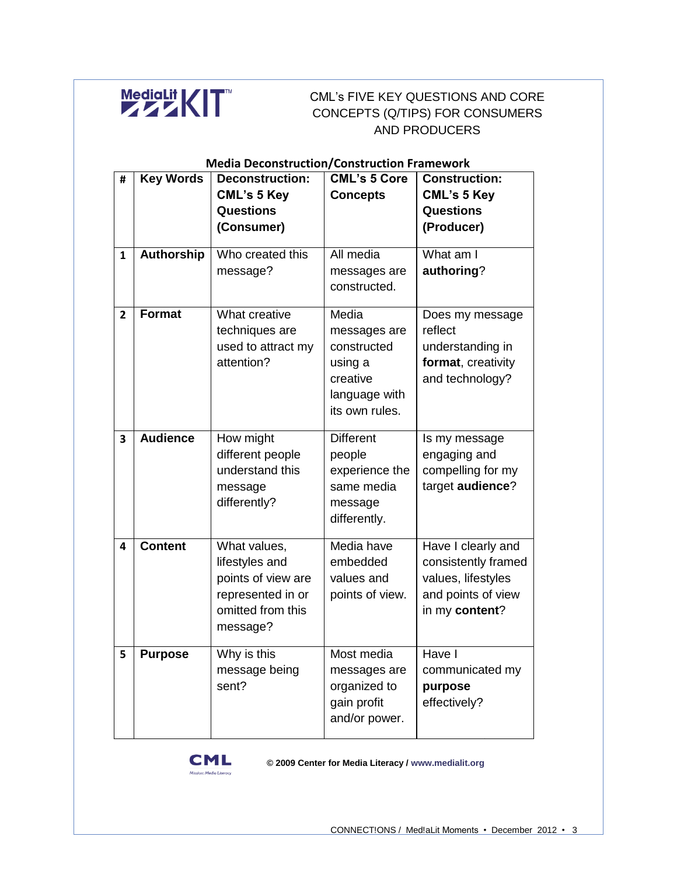

#### CML's FIVE KEY QUESTIONS AND CORE CONCEPTS (Q/TIPS) FOR CONSUMERS AND PRODUCERS

|                | <b>Media Deconstruction/Construction Framework</b> |                        |                     |                      |  |
|----------------|----------------------------------------------------|------------------------|---------------------|----------------------|--|
| #              | <b>Key Words</b>                                   | <b>Deconstruction:</b> | <b>CML's 5 Core</b> | <b>Construction:</b> |  |
|                |                                                    | <b>CML's 5 Key</b>     | <b>Concepts</b>     | <b>CML's 5 Key</b>   |  |
|                |                                                    | <b>Questions</b>       |                     | <b>Questions</b>     |  |
|                |                                                    | (Consumer)             |                     | (Producer)           |  |
| 1              | <b>Authorship</b>                                  | Who created this       | All media           | What am I            |  |
|                |                                                    | message?               | messages are        | authoring?           |  |
|                |                                                    |                        | constructed.        |                      |  |
| $\overline{2}$ | <b>Format</b>                                      | What creative          | Media               | Does my message      |  |
|                |                                                    | techniques are         | messages are        | reflect              |  |
|                |                                                    | used to attract my     | constructed         | understanding in     |  |
|                |                                                    | attention?             | using a             | format, creativity   |  |
|                |                                                    |                        | creative            | and technology?      |  |
|                |                                                    |                        | language with       |                      |  |
|                |                                                    |                        | its own rules.      |                      |  |
|                |                                                    |                        |                     |                      |  |
| 3              | <b>Audience</b>                                    | How might              | <b>Different</b>    | Is my message        |  |
|                |                                                    | different people       | people              | engaging and         |  |
|                |                                                    | understand this        | experience the      | compelling for my    |  |
|                |                                                    | message                | same media          | target audience?     |  |
|                |                                                    | differently?           | message             |                      |  |
|                |                                                    |                        | differently.        |                      |  |
|                | <b>Content</b>                                     | What values,           | Media have          |                      |  |
| 4              |                                                    |                        | embedded            | Have I clearly and   |  |
|                |                                                    | lifestyles and         |                     | consistently framed  |  |
|                |                                                    | points of view are     | values and          | values, lifestyles   |  |
|                |                                                    | represented in or      | points of view.     | and points of view   |  |
|                |                                                    | omitted from this      |                     | in my content?       |  |
|                |                                                    | message?               |                     |                      |  |
| 5              | <b>Purpose</b>                                     | Why is this            | Most media          | Have I               |  |
|                |                                                    | message being          | messages are        | communicated my      |  |
|                |                                                    | sent?                  | organized to        | purpose              |  |
|                |                                                    |                        | gain profit         | effectively?         |  |
|                |                                                    |                        | and/or power.       |                      |  |
|                |                                                    |                        |                     |                      |  |



**© 2009 Center for Media Literacy / www.medialit.org**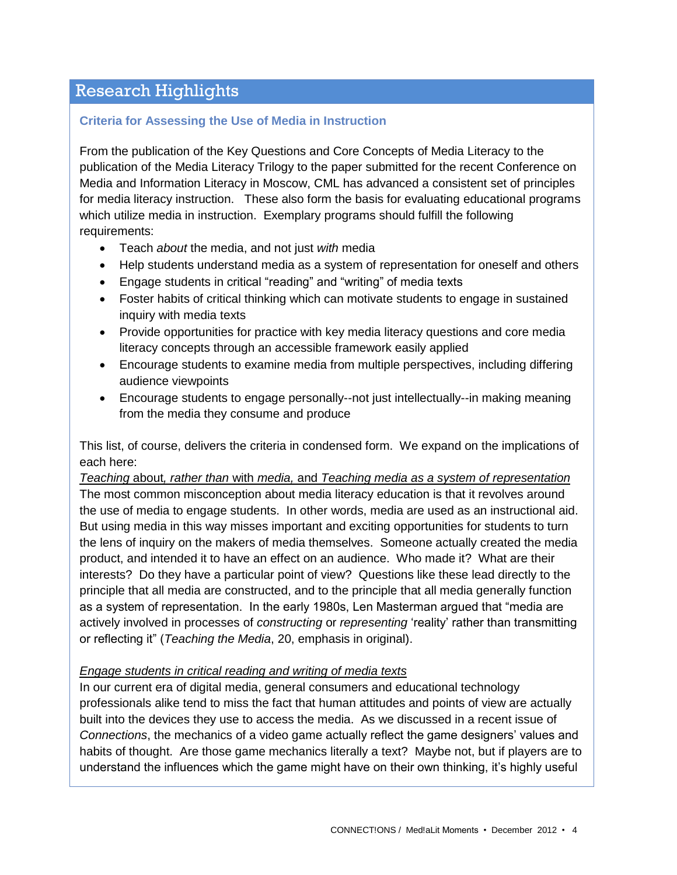# Research Highlights

#### **Criteria for Assessing the Use of Media in Instruction**

From the publication of the Key Questions and Core Concepts of Media Literacy to the publication of the Media Literacy Trilogy to the paper submitted for the recent Conference on Media and Information Literacy in Moscow, CML has advanced a consistent set of principles for media literacy instruction. These also form the basis for evaluating educational programs which utilize media in instruction. Exemplary programs should fulfill the following requirements:

- Teach *about* the media, and not just *with* media
- Help students understand media as a system of representation for oneself and others
- Engage students in critical "reading" and "writing" of media texts
- Foster habits of critical thinking which can motivate students to engage in sustained inquiry with media texts
- Provide opportunities for practice with key media literacy questions and core media literacy concepts through an accessible framework easily applied
- Encourage students to examine media from multiple perspectives, including differing audience viewpoints
- Encourage students to engage personally--not just intellectually--in making meaning from the media they consume and produce

This list, of course, delivers the criteria in condensed form. We expand on the implications of each here:

*Teaching* about*, rather than* with *media,* and *Teaching media as a system of representation* The most common misconception about media literacy education is that it revolves around the use of media to engage students. In other words, media are used as an instructional aid. But using media in this way misses important and exciting opportunities for students to turn the lens of inquiry on the makers of media themselves. Someone actually created the media product, and intended it to have an effect on an audience. Who made it? What are their interests? Do they have a particular point of view? Questions like these lead directly to the principle that all media are constructed, and to the principle that all media generally function as a system of representation. In the early 1980s, Len Masterman argued that "media are actively involved in processes of *constructing* or *representing* 'reality' rather than transmitting or reflecting it" (*Teaching the Media*, 20, emphasis in original).

#### *Engage students in critical reading and writing of media texts*

In our current era of digital media, general consumers and educational technology professionals alike tend to miss the fact that human attitudes and points of view are actually built into the devices they use to access the media. As we discussed in a recent issue of *Connections*, the mechanics of a video game actually reflect the game designers' values and habits of thought. Are those game mechanics literally a text? Maybe not, but if players are to understand the influences which the game might have on their own thinking, it's highly useful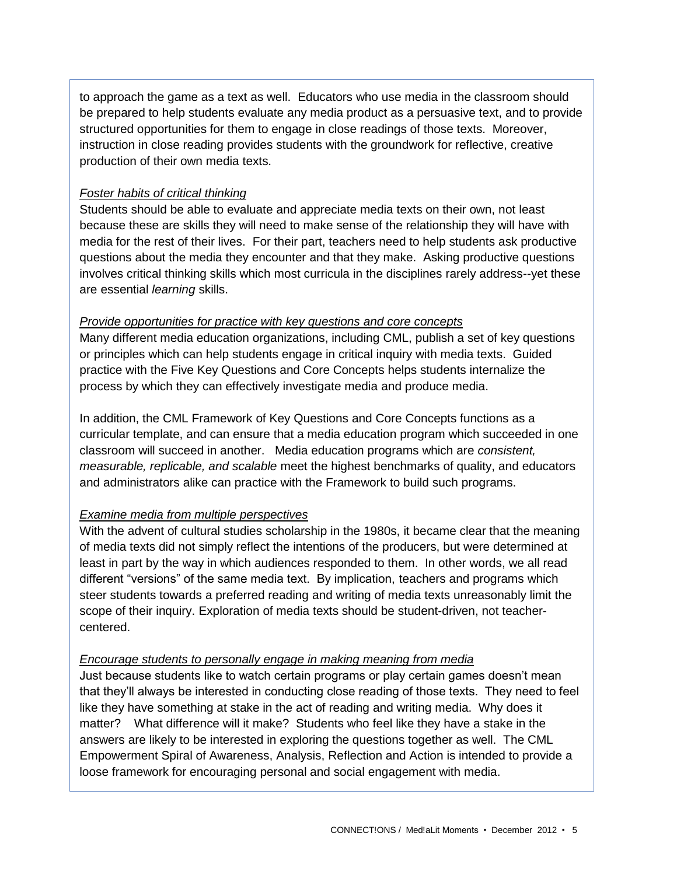to approach the game as a text as well. Educators who use media in the classroom should be prepared to help students evaluate any media product as a persuasive text, and to provide structured opportunities for them to engage in close readings of those texts. Moreover, instruction in close reading provides students with the groundwork for reflective, creative production of their own media texts.

#### *Foster habits of critical thinking*

Students should be able to evaluate and appreciate media texts on their own, not least because these are skills they will need to make sense of the relationship they will have with media for the rest of their lives. For their part, teachers need to help students ask productive questions about the media they encounter and that they make. Asking productive questions involves critical thinking skills which most curricula in the disciplines rarely address--yet these are essential *learning* skills.

#### *Provide opportunities for practice with key questions and core concepts*

Many different media education organizations, including CML, publish a set of key questions or principles which can help students engage in critical inquiry with media texts. Guided practice with the Five Key Questions and Core Concepts helps students internalize the process by which they can effectively investigate media and produce media.

In addition, the CML Framework of Key Questions and Core Concepts functions as a curricular template, and can ensure that a media education program which succeeded in one classroom will succeed in another. Media education programs which are *consistent, measurable, replicable, and scalable* meet the highest benchmarks of quality, and educators and administrators alike can practice with the Framework to build such programs.

#### *Examine media from multiple perspectives*

With the advent of cultural studies scholarship in the 1980s, it became clear that the meaning of media texts did not simply reflect the intentions of the producers, but were determined at least in part by the way in which audiences responded to them. In other words, we all read different "versions" of the same media text. By implication, teachers and programs which steer students towards a preferred reading and writing of media texts unreasonably limit the scope of their inquiry. Exploration of media texts should be student-driven, not teachercentered.

#### *Encourage students to personally engage in making meaning from media*

Just because students like to watch certain programs or play certain games doesn't mean that they'll always be interested in conducting close reading of those texts. They need to feel like they have something at stake in the act of reading and writing media. Why does it matter? What difference will it make? Students who feel like they have a stake in the answers are likely to be interested in exploring the questions together as well. The CML Empowerment Spiral of Awareness, Analysis, Reflection and Action is intended to provide a loose framework for encouraging personal and social engagement with media.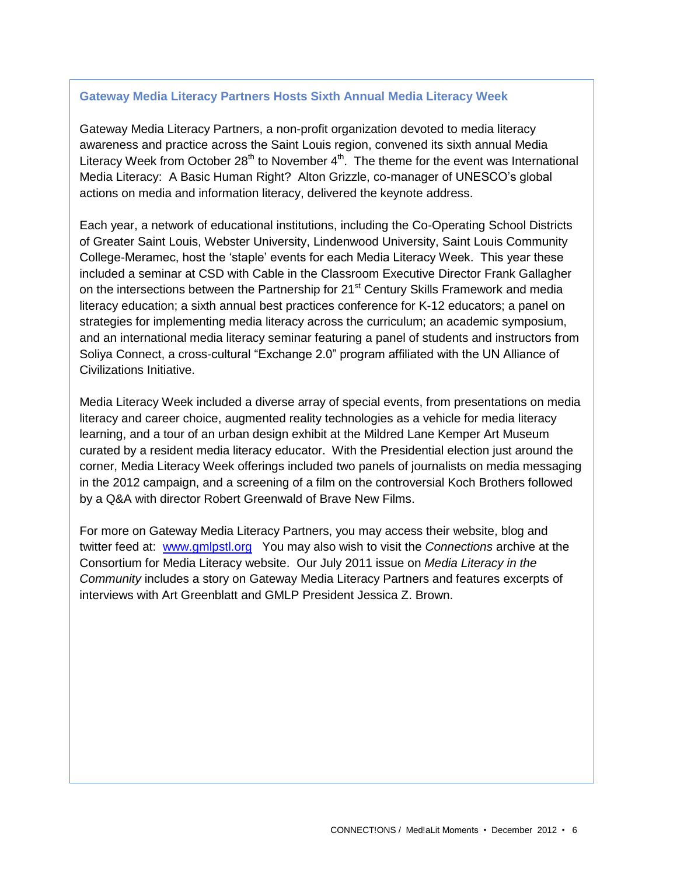#### **Gateway Media Literacy Partners Hosts Sixth Annual Media Literacy Week**

Gateway Media Literacy Partners, a non-profit organization devoted to media literacy awareness and practice across the Saint Louis region, convened its sixth annual Media Literacy Week from October  $28<sup>th</sup>$  to November  $4<sup>th</sup>$ . The theme for the event was International Media Literacy: A Basic Human Right? Alton Grizzle, co-manager of UNESCO's global actions on media and information literacy, delivered the keynote address.

Each year, a network of educational institutions, including the Co-Operating School Districts of Greater Saint Louis, Webster University, Lindenwood University, Saint Louis Community College-Meramec, host the 'staple' events for each Media Literacy Week. This year these included a seminar at CSD with Cable in the Classroom Executive Director Frank Gallagher on the intersections between the Partnership for 21<sup>st</sup> Century Skills Framework and media literacy education; a sixth annual best practices conference for K-12 educators; a panel on strategies for implementing media literacy across the curriculum; an academic symposium, and an international media literacy seminar featuring a panel of students and instructors from Soliya Connect, a cross-cultural "Exchange 2.0" program affiliated with the UN Alliance of Civilizations Initiative.

Media Literacy Week included a diverse array of special events, from presentations on media literacy and career choice, augmented reality technologies as a vehicle for media literacy learning, and a tour of an urban design exhibit at the Mildred Lane Kemper Art Museum curated by a resident media literacy educator. With the Presidential election just around the corner, Media Literacy Week offerings included two panels of journalists on media messaging in the 2012 campaign, and a screening of a film on the controversial Koch Brothers followed by a Q&A with director Robert Greenwald of Brave New Films.

For more on Gateway Media Literacy Partners, you may access their website, blog and twitter feed at: [www.gmlpstl.org](http://www.gmlpstl.org/) You may also wish to visit the *Connections* archive at the Consortium for Media Literacy website. Our July 2011 issue on *Media Literacy in the Community* includes a story on Gateway Media Literacy Partners and features excerpts of interviews with Art Greenblatt and GMLP President Jessica Z. Brown.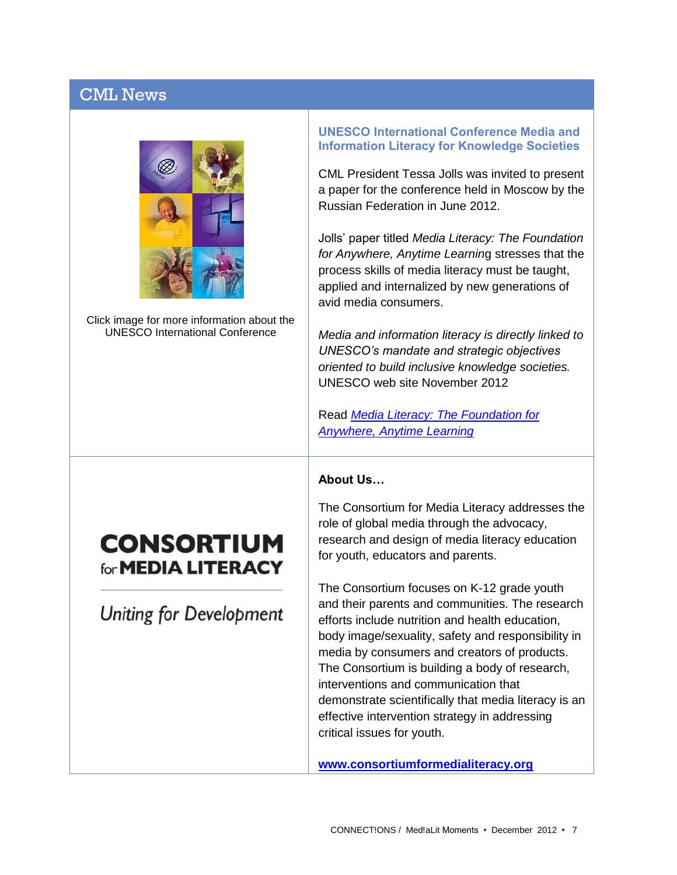# CML News



Click image for more information about the UNESCO International Conference

# **CONSORTIUM** for **MEDIA LITERACY**

**Uniting for Development** 

**UNESCO International Conference Media and Information Literacy for Knowledge Societies**

CML President Tessa Jolls was invited to present a paper for the conference held in Moscow by the Russian Federation in June 2012.

Jolls' paper titled *Media Literacy: The Foundation for Anywhere, Anytime Learnin*g stresses that the process skills of media literacy must be taught, applied and internalized by new generations of avid media consumers.

*Media and information literacy is directly linked to UNESCO's mandate and strategic objectives oriented to build inclusive knowledge societies.* UNESCO web site November 2012

Read *[Media Literacy: The Foundation for](http://www.medialit.org/reading-room/unesco-international-conference-media-and-information-literacy)  [Anywhere, Anytime Learning](http://www.medialit.org/reading-room/unesco-international-conference-media-and-information-literacy)*

#### **About Us…**

The Consortium for Media Literacy addresses the role of global media through the advocacy, research and design of media literacy education for youth, educators and parents.

The Consortium focuses on K-12 grade youth and their parents and communities. The research efforts include nutrition and health education, body image/sexuality, safety and responsibility in media by consumers and creators of products. The Consortium is building a body of research, interventions and communication that demonstrate scientifically that media literacy is an effective intervention strategy in addressing critical issues for youth.

**[www.consortiumformedialiteracy.org](http://www.consortiumformedialiteracy.org/)**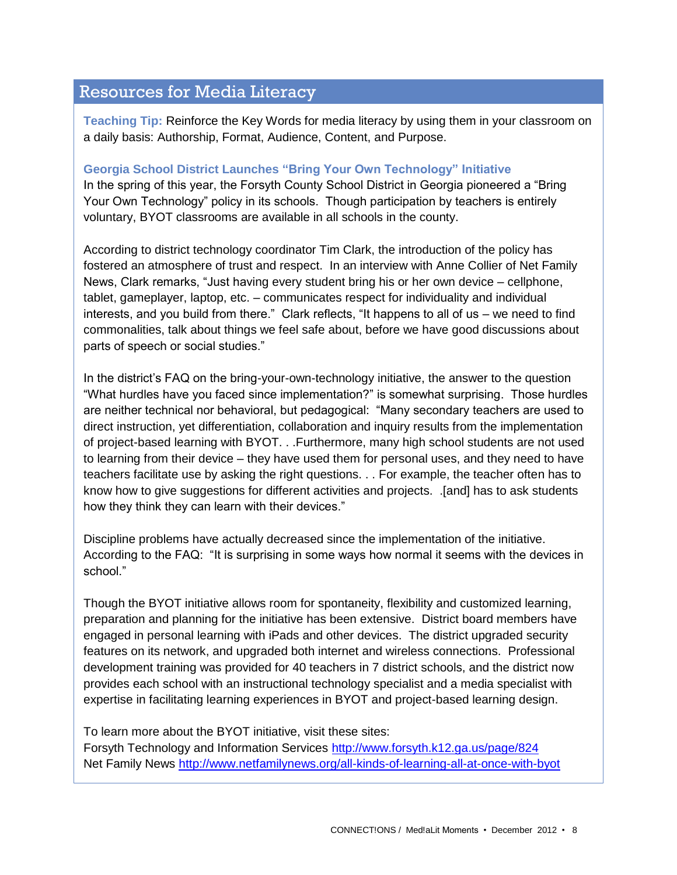# Resources for Media Literacy

**Teaching Tip:** Reinforce the Key Words for media literacy by using them in your classroom on a daily basis: Authorship, Format, Audience, Content, and Purpose.

#### **Georgia School District Launches "Bring Your Own Technology" Initiative**

In the spring of this year, the Forsyth County School District in Georgia pioneered a "Bring Your Own Technology" policy in its schools. Though participation by teachers is entirely voluntary, BYOT classrooms are available in all schools in the county.

According to district technology coordinator Tim Clark, the introduction of the policy has fostered an atmosphere of trust and respect. In an interview with Anne Collier of Net Family News, Clark remarks, "Just having every student bring his or her own device – cellphone, tablet, gameplayer, laptop, etc. – communicates respect for individuality and individual interests, and you build from there." Clark reflects, "It happens to all of us – we need to find commonalities, talk about things we feel safe about, before we have good discussions about parts of speech or social studies."

In the district's FAQ on the bring-your-own-technology initiative, the answer to the question "What hurdles have you faced since implementation?" is somewhat surprising. Those hurdles are neither technical nor behavioral, but pedagogical: "Many secondary teachers are used to direct instruction, yet differentiation, collaboration and inquiry results from the implementation of project-based learning with BYOT. . .Furthermore, many high school students are not used to learning from their device – they have used them for personal uses, and they need to have teachers facilitate use by asking the right questions. . . For example, the teacher often has to know how to give suggestions for different activities and projects. .[and] has to ask students how they think they can learn with their devices."

Discipline problems have actually decreased since the implementation of the initiative. According to the FAQ: "It is surprising in some ways how normal it seems with the devices in school."

Though the BYOT initiative allows room for spontaneity, flexibility and customized learning, preparation and planning for the initiative has been extensive. District board members have engaged in personal learning with iPads and other devices. The district upgraded security features on its network, and upgraded both internet and wireless connections. Professional development training was provided for 40 teachers in 7 district schools, and the district now provides each school with an instructional technology specialist and a media specialist with expertise in facilitating learning experiences in BYOT and project-based learning design.

To learn more about the BYOT initiative, visit these sites:

Forsyth Technology and Information Services<http://www.forsyth.k12.ga.us/page/824> Net Family News<http://www.netfamilynews.org/all-kinds-of-learning-all-at-once-with-byot>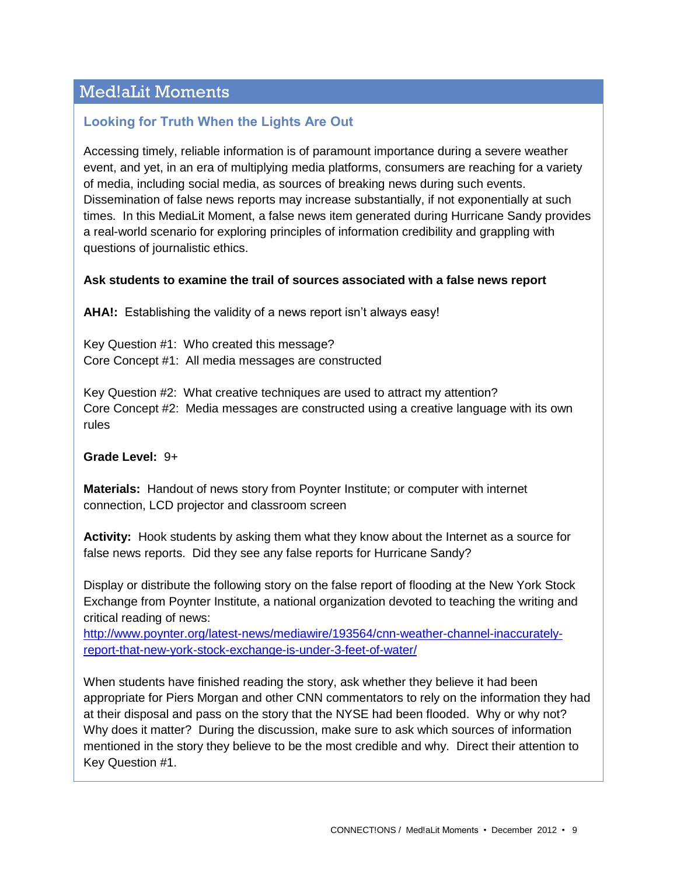# Med!aLit Moments

#### **Looking for Truth When the Lights Are Out**

Accessing timely, reliable information is of paramount importance during a severe weather event, and yet, in an era of multiplying media platforms, consumers are reaching for a variety of media, including social media, as sources of breaking news during such events. Dissemination of false news reports may increase substantially, if not exponentially at such times. In this MediaLit Moment, a false news item generated during Hurricane Sandy provides a real-world scenario for exploring principles of information credibility and grappling with questions of journalistic ethics.

#### **Ask students to examine the trail of sources associated with a false news report**

**AHA!:** Establishing the validity of a news report isn't always easy!

Key Question #1: Who created this message? Core Concept #1: All media messages are constructed

Key Question #2: What creative techniques are used to attract my attention? Core Concept #2: Media messages are constructed using a creative language with its own rules

**Grade Level:** 9+

**Materials:** Handout of news story from Poynter Institute; or computer with internet connection, LCD projector and classroom screen

**Activity:** Hook students by asking them what they know about the Internet as a source for false news reports. Did they see any false reports for Hurricane Sandy?

Display or distribute the following story on the false report of flooding at the New York Stock Exchange from Poynter Institute, a national organization devoted to teaching the writing and critical reading of news:

[http://www.poynter.org/latest-news/mediawire/193564/cnn-weather-channel-inaccurately](http://www.poynter.org/latest-news/mediawire/193564/cnn-weather-channel-inaccurately-report-that-new-york-stock-exchange-is-under-3-feet-of-water/)[report-that-new-york-stock-exchange-is-under-3-feet-of-water/](http://www.poynter.org/latest-news/mediawire/193564/cnn-weather-channel-inaccurately-report-that-new-york-stock-exchange-is-under-3-feet-of-water/)

When students have finished reading the story, ask whether they believe it had been appropriate for Piers Morgan and other CNN commentators to rely on the information they had at their disposal and pass on the story that the NYSE had been flooded. Why or why not? Why does it matter? During the discussion, make sure to ask which sources of information mentioned in the story they believe to be the most credible and why. Direct their attention to Key Question #1.